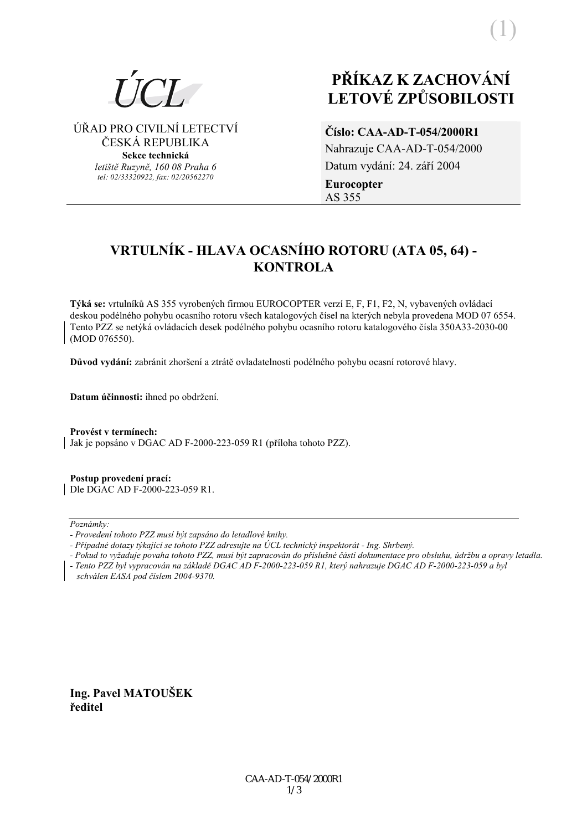# PŘÍKAZ K ZACHOVÁNÍ **LETOVÉ ZPŮSOBILOSTI**

ÚŘAD PRO CIVILNÍ LETECTVÍ ČESKÁ REPUBLIKA

> Sekce technická letiště Ruzvně, 160 08 Praha 6 tel: 02/33320922, fax: 02/20562270

# Číslo: CAA-AD-T-054/2000R1

Nahrazuje CAA-AD-T-054/2000 Datum vydání: 24. září 2004 **Eurocopter** AS 355

# VRTULNÍK - HLAVA OCASNÍHO ROTORU (ATA 05, 64) -**KONTROLA**

Týká se: vrtulníků AS 355 vyrobených firmou EUROCOPTER verzí E, F, F1, F2, N, vybavených ovládací deskou podélného pohybu ocasního rotoru všech katalogových čísel na kterých nebyla provedena MOD 07 6554. Tento PZZ se netýká ovládacích desek podélného pohybu ocasního rotoru katalogového čísla 350A33-2030-00 (MOD 076550).

Důvod vydání: zabránit zhoršení a ztrátě ovladatelnosti podélného pohybu ocasní rotorové hlavy.

Datum účinnosti: ihned po obdržení.

Provést y termínech: Jak je popsáno v DGAC AD F-2000-223-059 R1 (příloha tohoto PZZ).

Postup provedení prací: Dle DGAC AD F-2000-223-059 R1.

Poznámky:

- Případné dotazy týkající se tohoto PZZ adresujte na ÚCL technický inspektorát - Ing. Shrbený.

- Pokud to vyžaduje povaha tohoto PZZ, musí být zapracován do příslušné části dokumentace pro obsluhu, údržbu a opravy letadla.

- Tento PZZ byl vypracován na základě DGAC AD F-2000-223-059 R1, který nahrazuje DGAC AD F-2000-223-059 a byl

schválen EASA pod číslem 2004-9370.

Ing. Pavel MATOUŠEK ředitel

<sup>-</sup> Provedení tohoto PZZ musí být zapsáno do letadlové knihy.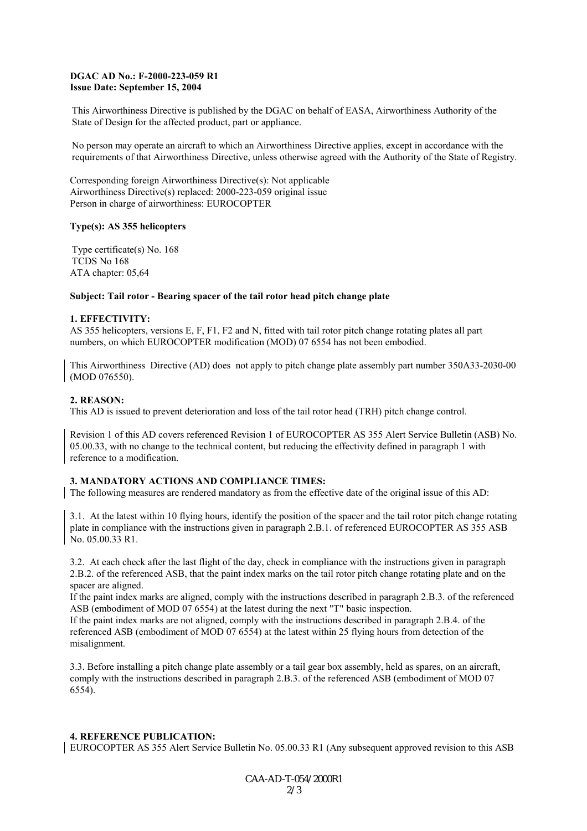#### **DGAC AD No.: F-2000-223-059 R1 Issue Date: September 15, 2004**

This Airworthiness Directive is published by the DGAC on behalf of EASA, Airworthiness Authority of the State of Design for the affected product, part or appliance.

No person may operate an aircraft to which an Airworthiness Directive applies, except in accordance with the requirements of that Airworthiness Directive, unless otherwise agreed with the Authority of the State of Registry.

Corresponding foreign Airworthiness Directive(s): Not applicable Airworthiness Directive(s) replaced: 2000-223-059 original issue Person in charge of airworthiness: EUROCOPTER

#### **Type(s): AS 355 helicopters**

Type certificate(s) No. 168 TCDS No 168 ATA chapter: 05,64

#### **Subject: Tail rotor - Bearing spacer of the tail rotor head pitch change plate**

#### **1. EFFECTIVITY:**

AS 355 helicopters, versions E, F, F1, F2 and N, fitted with tail rotor pitch change rotating plates all part numbers, on which EUROCOPTER modification (MOD) 07 6554 has not been embodied.

This Airworthiness Directive (AD) does not apply to pitch change plate assembly part number 350A33-2030-00 (MOD 076550).

#### **2. REASON:**

This AD is issued to prevent deterioration and loss of the tail rotor head (TRH) pitch change control.

Revision 1 of this AD covers referenced Revision 1 of EUROCOPTER AS 355 Alert Service Bulletin (ASB) No. 05.00.33, with no change to the technical content, but reducing the effectivity defined in paragraph 1 with reference to a modification.

#### **3. MANDATORY ACTIONS AND COMPLIANCE TIMES:**

The following measures are rendered mandatory as from the effective date of the original issue of this AD:

3.1. At the latest within 10 flying hours, identify the position of the spacer and the tail rotor pitch change rotating plate in compliance with the instructions given in paragraph 2.B.1. of referenced EUROCOPTER AS 355 ASB No. 05.00.33 R1.

3.2. At each check after the last flight of the day, check in compliance with the instructions given in paragraph 2.B.2. of the referenced ASB, that the paint index marks on the tail rotor pitch change rotating plate and on the spacer are aligned.

If the paint index marks are aligned, comply with the instructions described in paragraph 2.B.3. of the referenced ASB (embodiment of MOD 07 6554) at the latest during the next "T" basic inspection.

If the paint index marks are not aligned, comply with the instructions described in paragraph 2.B.4. of the referenced ASB (embodiment of MOD 07 6554) at the latest within 25 flying hours from detection of the misalignment.

3.3. Before installing a pitch change plate assembly or a tail gear box assembly, held as spares, on an aircraft, comply with the instructions described in paragraph 2.B.3. of the referenced ASB (embodiment of MOD 07 6554).

#### **4. REFERENCE PUBLICATION:**

EUROCOPTER AS 355 Alert Service Bulletin No. 05.00.33 R1 (Any subsequent approved revision to this ASB